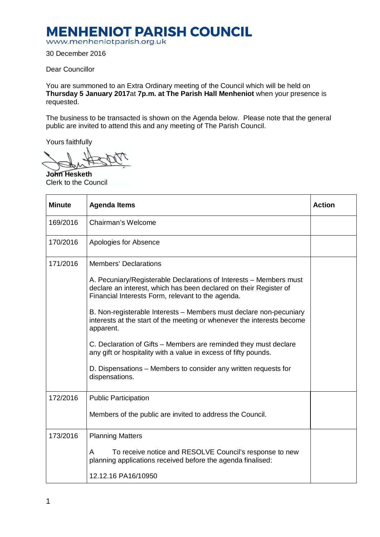## **MENHENIOT PARISH COUNCIL**

www.menheniotparish.org.uk

30 December 2016

Dear Councillor

You are summoned to an Extra Ordinary meeting of the Council which will be held on **Thursday 5 January 2017**at **7p.m. at The Parish Hall Menheniot** when your presence is requested.

The business to be transacted is shown on the Agenda below. Please note that the general public are invited to attend this and any meeting of The Parish Council.

Yours faithfully

**John Hesketh**  Clerk to the Council

| <b>Minute</b> | <b>Agenda Items</b>                                                                                                                                                                                                                                                                                                                                                                                                                                                                                                                                                                                 | <b>Action</b> |
|---------------|-----------------------------------------------------------------------------------------------------------------------------------------------------------------------------------------------------------------------------------------------------------------------------------------------------------------------------------------------------------------------------------------------------------------------------------------------------------------------------------------------------------------------------------------------------------------------------------------------------|---------------|
| 169/2016      | Chairman's Welcome                                                                                                                                                                                                                                                                                                                                                                                                                                                                                                                                                                                  |               |
| 170/2016      | Apologies for Absence                                                                                                                                                                                                                                                                                                                                                                                                                                                                                                                                                                               |               |
| 171/2016      | <b>Members' Declarations</b><br>A. Pecuniary/Registerable Declarations of Interests – Members must<br>declare an interest, which has been declared on their Register of<br>Financial Interests Form, relevant to the agenda.<br>B. Non-registerable Interests - Members must declare non-pecuniary<br>interests at the start of the meeting or whenever the interests become<br>apparent.<br>C. Declaration of Gifts – Members are reminded they must declare<br>any gift or hospitality with a value in excess of fifty pounds.<br>D. Dispensations – Members to consider any written requests for |               |
|               | dispensations.                                                                                                                                                                                                                                                                                                                                                                                                                                                                                                                                                                                      |               |
| 172/2016      | <b>Public Participation</b><br>Members of the public are invited to address the Council.                                                                                                                                                                                                                                                                                                                                                                                                                                                                                                            |               |
| 173/2016      | <b>Planning Matters</b><br>To receive notice and RESOLVE Council's response to new<br>A<br>planning applications received before the agenda finalised:<br>12.12.16 PA16/10950                                                                                                                                                                                                                                                                                                                                                                                                                       |               |